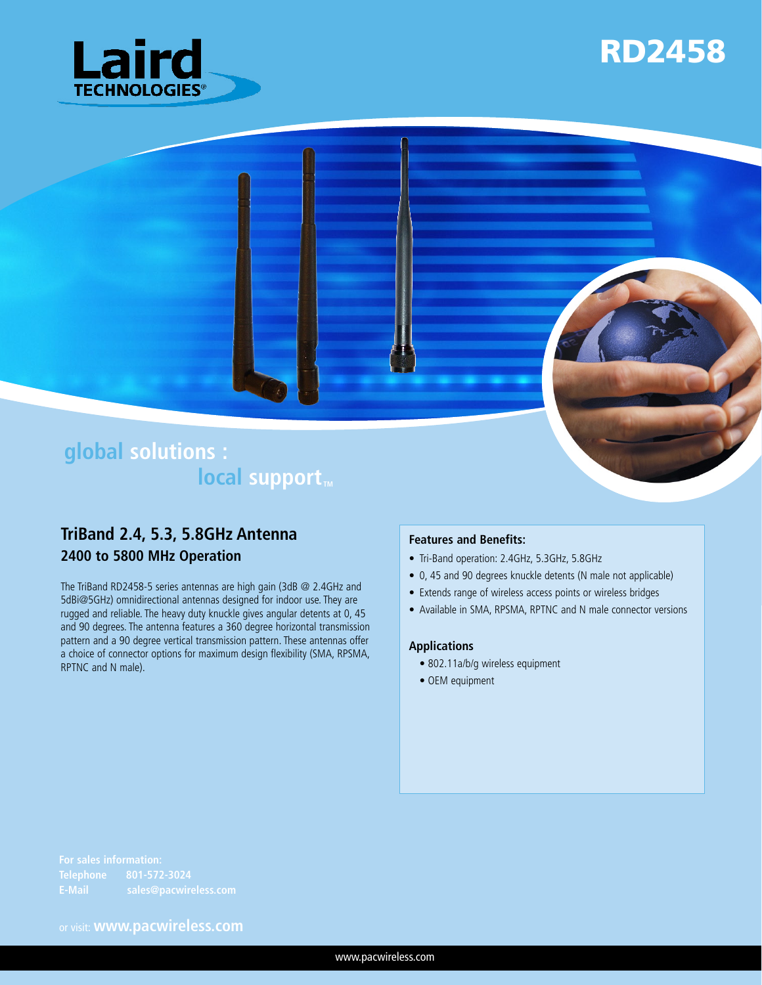





# **TriBand 2.4, 5.3, 5.8GHz Antenna**

**2400 to 5800 MHz Operation**

The TriBand RD2458-5 series antennas are high gain (3dB @ 2.4GHz and 5dBi@5GHz) omnidirectional antennas designed for indoor use. They are rugged and reliable. The heavy duty knuckle gives angular detents at 0, 45 and 90 degrees. The antenna features a 360 degree horizontal transmission pattern and a 90 degree vertical transmission pattern. These antennas offer a choice of connector options for maximum design flexibility (SMA, RPSMA, RPTNC and N male).

#### **Features and Benefits:**

- Tri-Band operation: 2.4GHz, 5.3GHz, 5.8GHz
- • 0, 45 and 90 degrees knuckle detents (N male not applicable)
- Extends range of wireless access points or wireless bridges
- Available in SMA, RPSMA, RPTNC and N male connector versions

#### **Applications**

- 802.11a/b/g wireless equipment
- OEM equipment

or visit: **www.pacwireless.com**